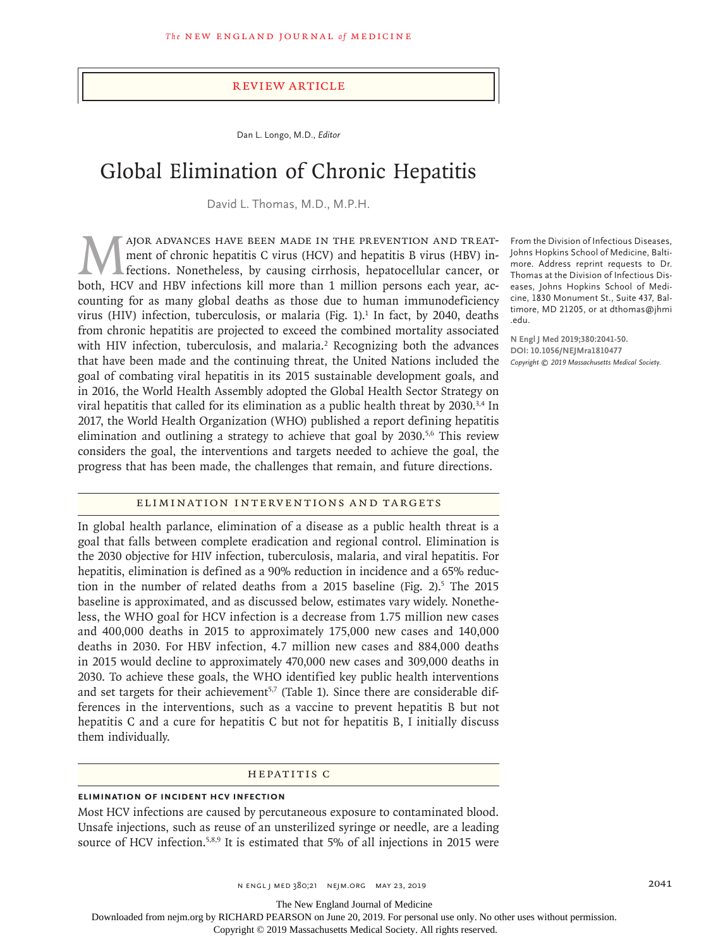#### Review Article

Dan L. Longo, M.D., *Editor*

# Global Elimination of Chronic Hepatitis

David L. Thomas, M.D., M.P.H.

MAJOR ADVANCES HAVE BEEN MADE IN THE PREVENTION AND TREAT-<br>ment of chronic hepatitis C virus (HCV) and hepatitis B virus (HBV) in-<br>fections. Nonetheless, by causing cirrhosis, hepatocellular cancer, or<br>both. HCV and HBV in ment of chronic hepatitis C virus (HCV) and hepatitis B virus (HBV) infections. Nonetheless, by causing cirrhosis, hepatocellular cancer, or both, HCV and HBV infections kill more than 1 million persons each year, accounting for as many global deaths as those due to human immunodeficiency virus (HIV) infection, tuberculosis, or malaria (Fig. 1).<sup>1</sup> In fact, by 2040, deaths from chronic hepatitis are projected to exceed the combined mortality associated with HIV infection, tuberculosis, and malaria.<sup>2</sup> Recognizing both the advances that have been made and the continuing threat, the United Nations included the goal of combating viral hepatitis in its 2015 sustainable development goals, and in 2016, the World Health Assembly adopted the Global Health Sector Strategy on viral hepatitis that called for its elimination as a public health threat by 2030.<sup>3,4</sup> In 2017, the World Health Organization (WHO) published a report defining hepatitis elimination and outlining a strategy to achieve that goal by  $2030$ <sup>5,6</sup> This review considers the goal, the interventions and targets needed to achieve the goal, the progress that has been made, the challenges that remain, and future directions.

From the Division of Infectious Diseases, Johns Hopkins School of Medicine, Baltimore. Address reprint requests to Dr. Thomas at the Division of Infectious Diseases, Johns Hopkins School of Medicine, 1830 Monument St., Suite 437, Baltimore, MD 21205, or at dthomas@jhmi .edu.

**N Engl J Med 2019;380:2041-50. DOI: 10.1056/NEJMra1810477** *Copyright © 2019 Massachusetts Medical Society.*

### Elimination Interventions and Targets

In global health parlance, elimination of a disease as a public health threat is a goal that falls between complete eradication and regional control. Elimination is the 2030 objective for HIV infection, tuberculosis, malaria, and viral hepatitis. For hepatitis, elimination is defined as a 90% reduction in incidence and a 65% reduction in the number of related deaths from a  $2015$  baseline (Fig. 2).<sup>5</sup> The  $2015$ baseline is approximated, and as discussed below, estimates vary widely. Nonetheless, the WHO goal for HCV infection is a decrease from 1.75 million new cases and 400,000 deaths in 2015 to approximately 175,000 new cases and 140,000 deaths in 2030. For HBV infection, 4.7 million new cases and 884,000 deaths in 2015 would decline to approximately 470,000 new cases and 309,000 deaths in 2030. To achieve these goals, the WHO identified key public health interventions and set targets for their achievement<sup>5,7</sup> (Table 1). Since there are considerable differences in the interventions, such as a vaccine to prevent hepatitis B but not hepatitis C and a cure for hepatitis C but not for hepatitis B, I initially discuss them individually.

#### Hepatitis C

## **Elimination of Incident HCV Infection**

Most HCV infections are caused by percutaneous exposure to contaminated blood. Unsafe injections, such as reuse of an unsterilized syringe or needle, are a leading source of HCV infection.<sup>5,8,9</sup> It is estimated that 5% of all injections in 2015 were

The New England Journal of Medicine

Downloaded from nejm.org by RICHARD PEARSON on June 20, 2019. For personal use only. No other uses without permission.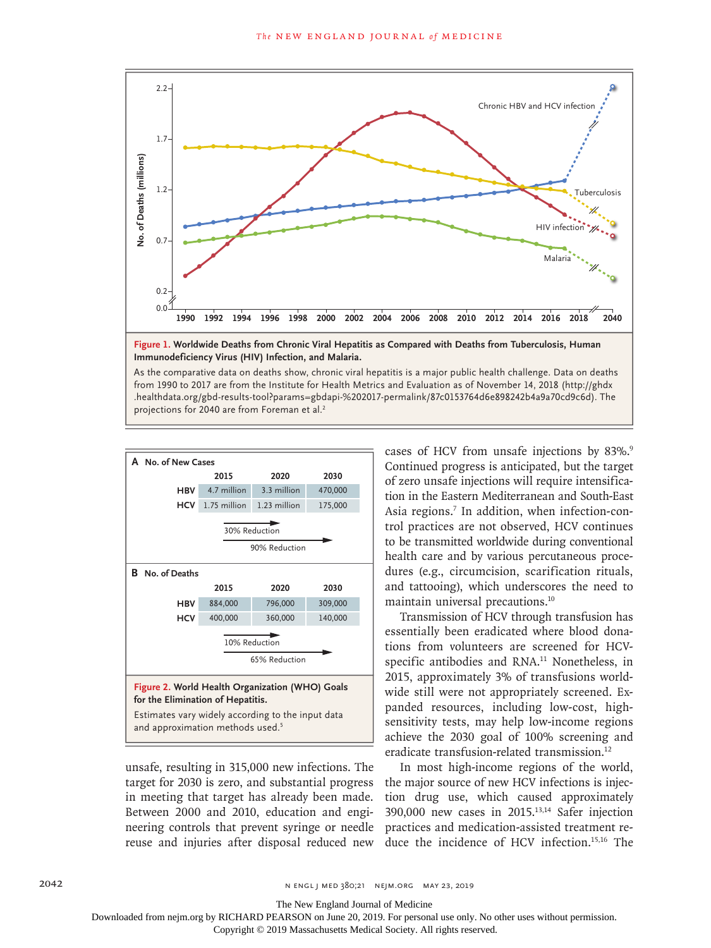

 **Immunodeficiency Virus (HIV) Infection, and Malaria.**

As the comparative data on deaths show, chronic viral hepatitis is a major public health challenge. Data on deaths from 1990 to 2017 are from the Institute for Health Metrics and Evaluation as of November 14, 2018 (http://ghdx . healthdata . org/ gbd - results - tool?params=gbdapi - %202017 - permalink/ 87c0153764d6e898242b4a9a70cd9c6d). The projections for 2040 are from Foreman et al.<sup>2</sup>



unsafe, resulting in 315,000 new infections. The target for 2030 is zero, and substantial progress in meeting that target has already been made. Between 2000 and 2010, education and engineering controls that prevent syringe or needle reuse and injuries after disposal reduced new cases of HCV from unsafe injections by 83%.<sup>9</sup> Continued progress is anticipated, but the target of zero unsafe injections will require intensification in the Eastern Mediterranean and South-East Asia regions.<sup>7</sup> In addition, when infection-control practices are not observed, HCV continues to be transmitted worldwide during conventional health care and by various percutaneous procedures (e.g., circumcision, scarification rituals, and tattooing), which underscores the need to maintain universal precautions.10

Transmission of HCV through transfusion has essentially been eradicated where blood donations from volunteers are screened for HCVspecific antibodies and RNA.<sup>11</sup> Nonetheless, in 2015, approximately 3% of transfusions worldwide still were not appropriately screened. Expanded resources, including low-cost, highsensitivity tests, may help low-income regions achieve the 2030 goal of 100% screening and eradicate transfusion-related transmission.12

In most high-income regions of the world, the major source of new HCV infections is injection drug use, which caused approximately 390,000 new cases in 2015.13,14 Safer injection practices and medication-assisted treatment reduce the incidence of HCV infection.15,16 The

The New England Journal of Medicine

Downloaded from nejm.org by RICHARD PEARSON on June 20, 2019. For personal use only. No other uses without permission.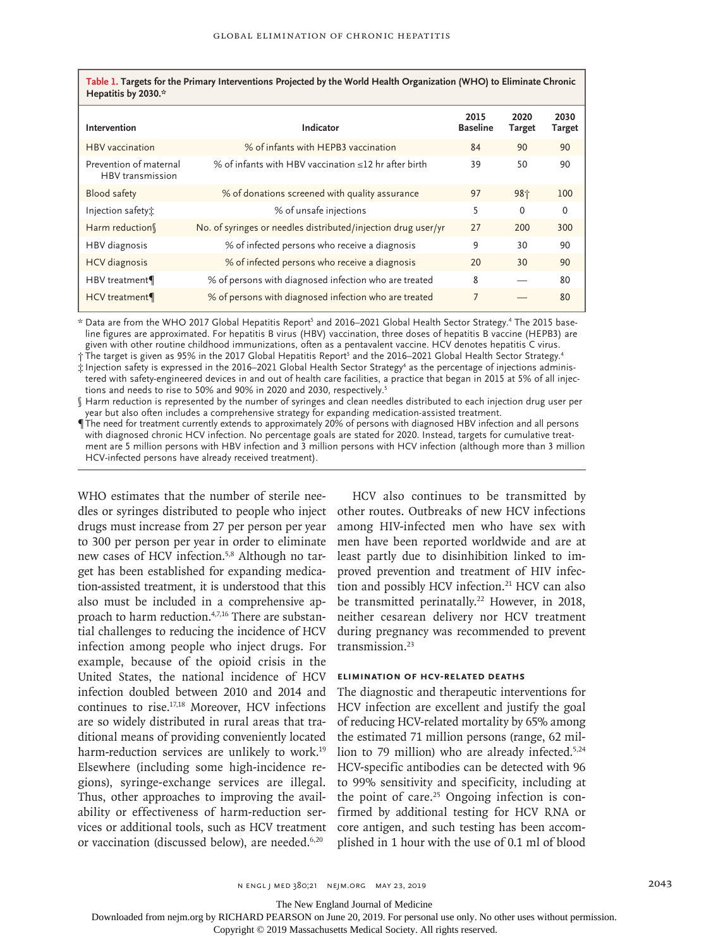| Intervention                               | Indicator                                                     | 2015<br><b>Baseline</b> | 2020<br>Target | 2030<br>Target |
|--------------------------------------------|---------------------------------------------------------------|-------------------------|----------------|----------------|
| <b>HBV</b> vaccination                     | % of infants with HEPB3 vaccination                           | 84                      | 90             | 90             |
| Prevention of maternal<br>HBV transmission | % of infants with HBV vaccination $\leq$ 12 hr after birth    | 39                      | 50             | 90             |
| <b>Blood safety</b>                        | % of donations screened with quality assurance                | 97                      | 98个            | 100            |
| Injection safety:                          | % of unsafe injections                                        | 5                       | $\Omega$       | $\Omega$       |
| Harm reduction                             | No. of syringes or needles distributed/injection drug user/yr | 27                      | 200            | 300            |
| HBV diagnosis                              | % of infected persons who receive a diagnosis                 | 9                       | 30             | 90             |
| <b>HCV</b> diagnosis                       | % of infected persons who receive a diagnosis                 | 20                      | 30             | 90             |
| HBV treatment¶                             | % of persons with diagnosed infection who are treated         | 8                       |                | 80             |
| HCV treatment                              | % of persons with diagnosed infection who are treated         | 7                       |                | 80             |

\* Data are from the WHO 2017 Global Hepatitis Report<sup>5</sup> and 2016–2021 Global Health Sector Strategy.<sup>4</sup> The 2015 baseline figures are approximated. For hepatitis B virus (HBV) vaccination, three doses of hepatitis B vaccine (HEPB3) are given with other routine childhood immunizations, often as a pentavalent vaccine. HCV denotes hepatitis C virus.

† The target is given as 95% in the 2017 Global Hepatitis Report<sup>s</sup> and the 2016–2021 Global Health Sector Strategy.<sup>4</sup>

 $\ddot{x}$  Injection safety is expressed in the 2016–2021 Global Health Sector Strategy<sup>4</sup> as the percentage of injections administered with safety-engineered devices in and out of health care facilities, a practice that began in 2015 at 5% of all injections and needs to rise to 50% and 90% in 2020 and 2030, respectively.<sup>5</sup>

§ Harm reduction is represented by the number of syringes and clean needles distributed to each injection drug user per year but also often includes a comprehensive strategy for expanding medication-assisted treatment.

¶ The need for treatment currently extends to approximately 20% of persons with diagnosed HBV infection and all persons with diagnosed chronic HCV infection. No percentage goals are stated for 2020. Instead, targets for cumulative treatment are 5 million persons with HBV infection and 3 million persons with HCV infection (although more than 3 million HCV-infected persons have already received treatment).

WHO estimates that the number of sterile needles or syringes distributed to people who inject drugs must increase from 27 per person per year to 300 per person per year in order to eliminate new cases of HCV infection.5,8 Although no target has been established for expanding medication-assisted treatment, it is understood that this also must be included in a comprehensive approach to harm reduction.4,7,16 There are substantial challenges to reducing the incidence of HCV infection among people who inject drugs. For example, because of the opioid crisis in the United States, the national incidence of HCV infection doubled between 2010 and 2014 and continues to rise.17,18 Moreover, HCV infections are so widely distributed in rural areas that traditional means of providing conveniently located harm-reduction services are unlikely to work.<sup>19</sup> Elsewhere (including some high-incidence regions), syringe-exchange services are illegal. Thus, other approaches to improving the availability or effectiveness of harm-reduction services or additional tools, such as HCV treatment or vaccination (discussed below), are needed.<sup>6,20</sup>

HCV also continues to be transmitted by other routes. Outbreaks of new HCV infections among HIV-infected men who have sex with men have been reported worldwide and are at least partly due to disinhibition linked to improved prevention and treatment of HIV infection and possibly HCV infection.<sup>21</sup> HCV can also be transmitted perinatally.<sup>22</sup> However, in 2018, neither cesarean delivery nor HCV treatment during pregnancy was recommended to prevent transmission.<sup>23</sup>

#### **Elimination of HCV-Related Deaths**

The diagnostic and therapeutic interventions for HCV infection are excellent and justify the goal of reducing HCV-related mortality by 65% among the estimated 71 million persons (range, 62 million to 79 million) who are already infected.<sup>5,24</sup> HCV-specific antibodies can be detected with 96 to 99% sensitivity and specificity, including at the point of care.<sup>25</sup> Ongoing infection is confirmed by additional testing for HCV RNA or core antigen, and such testing has been accomplished in 1 hour with the use of 0.1 ml of blood

n engl j med 380;21 nejm.org May 23, 2019 2043

The New England Journal of Medicine

Downloaded from nejm.org by RICHARD PEARSON on June 20, 2019. For personal use only. No other uses without permission.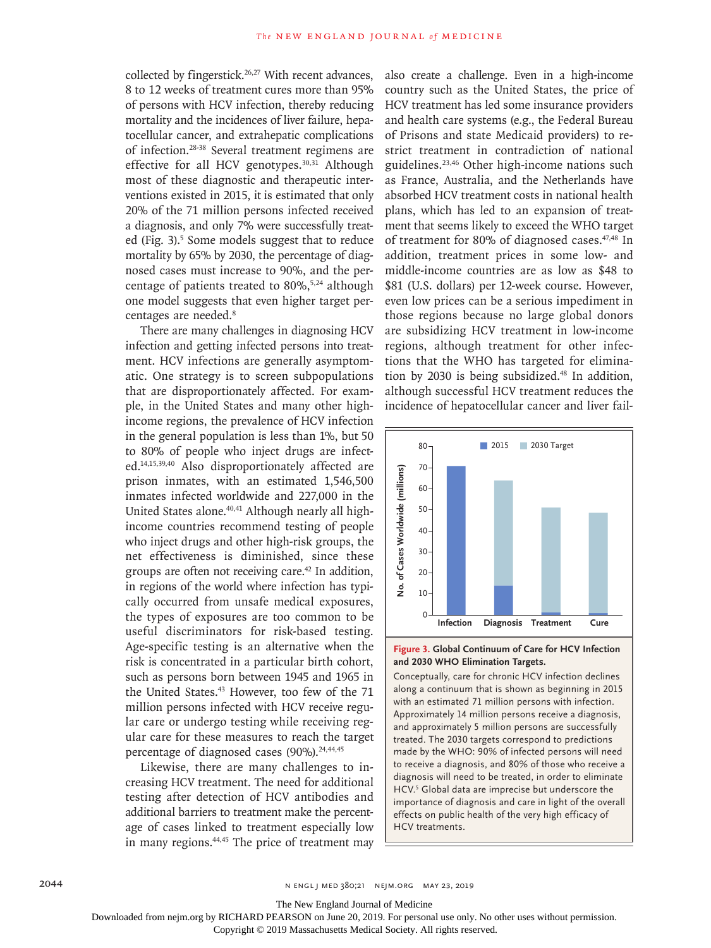collected by fingerstick.<sup>26,27</sup> With recent advances, 8 to 12 weeks of treatment cures more than 95% of persons with HCV infection, thereby reducing mortality and the incidences of liver failure, hepatocellular cancer, and extrahepatic complications of infection.28-38 Several treatment regimens are effective for all HCV genotypes.<sup>30,31</sup> Although most of these diagnostic and therapeutic interventions existed in 2015, it is estimated that only 20% of the 71 million persons infected received a diagnosis, and only 7% were successfully treated (Fig. 3).<sup>5</sup> Some models suggest that to reduce mortality by 65% by 2030, the percentage of diagnosed cases must increase to 90%, and the percentage of patients treated to 80%,5,24 although one model suggests that even higher target percentages are needed.8

There are many challenges in diagnosing HCV infection and getting infected persons into treatment. HCV infections are generally asymptomatic. One strategy is to screen subpopulations that are disproportionately affected. For example, in the United States and many other highincome regions, the prevalence of HCV infection in the general population is less than 1%, but 50 to 80% of people who inject drugs are infected.14,15,39,40 Also disproportionately affected are prison inmates, with an estimated 1,546,500 inmates infected worldwide and 227,000 in the United States alone.<sup>40,41</sup> Although nearly all highincome countries recommend testing of people who inject drugs and other high-risk groups, the net effectiveness is diminished, since these groups are often not receiving care.42 In addition, in regions of the world where infection has typically occurred from unsafe medical exposures, the types of exposures are too common to be useful discriminators for risk-based testing. Age-specific testing is an alternative when the risk is concentrated in a particular birth cohort, such as persons born between 1945 and 1965 in the United States.<sup>43</sup> However, too few of the 71 million persons infected with HCV receive regular care or undergo testing while receiving regular care for these measures to reach the target percentage of diagnosed cases (90%).<sup>24,44,45</sup>

Likewise, there are many challenges to increasing HCV treatment. The need for additional testing after detection of HCV antibodies and additional barriers to treatment make the percentage of cases linked to treatment especially low in many regions.<sup>44,45</sup> The price of treatment may

also create a challenge. Even in a high-income country such as the United States, the price of HCV treatment has led some insurance providers and health care systems (e.g., the Federal Bureau of Prisons and state Medicaid providers) to restrict treatment in contradiction of national guidelines.23,46 Other high-income nations such as France, Australia, and the Netherlands have absorbed HCV treatment costs in national health plans, which has led to an expansion of treatment that seems likely to exceed the WHO target of treatment for 80% of diagnosed cases.47,48 In addition, treatment prices in some low- and middle-income countries are as low as \$48 to \$81 (U.S. dollars) per 12-week course. However, even low prices can be a serious impediment in those regions because no large global donors are subsidizing HCV treatment in low-income regions, although treatment for other infections that the WHO has targeted for elimination by 2030 is being subsidized.48 In addition, although successful HCV treatment reduces the incidence of hepatocellular cancer and liver fail-





Conceptually, care for chronic HCV infection declines along a continuum that is shown as beginning in 2015 with an estimated 71 million persons with infection. Approximately 14 million persons receive a diagnosis, and approximately 5 million persons are successfully treated. The 2030 targets correspond to predictions made by the WHO: 90% of infected persons will need to receive a diagnosis, and 80% of those who receive a diagnosis will need to be treated, in order to eliminate HCV.<sup>5</sup> Global data are imprecise but underscore the importance of diagnosis and care in light of the overall effects on public health of the very high efficacy of HCV treatments.

2044 2014 and the set of the set of the set of the set of the set of the set of the set of the set of the set o

The New England Journal of Medicine

Downloaded from nejm.org by RICHARD PEARSON on June 20, 2019. For personal use only. No other uses without permission.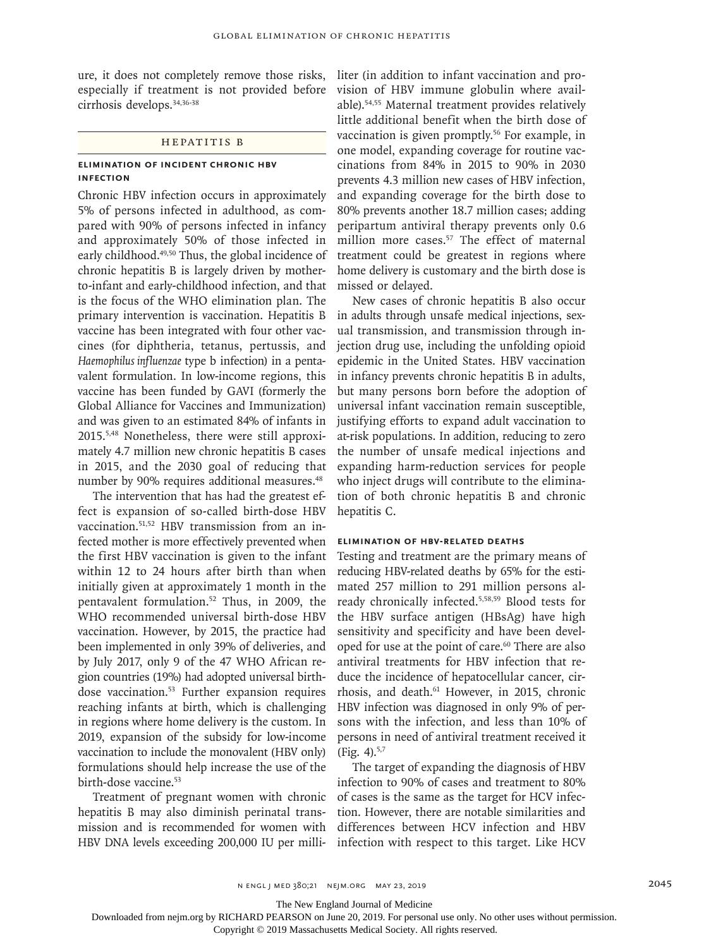ure, it does not completely remove those risks, especially if treatment is not provided before cirrhosis develops.34,36-38

## Hepatitis B

## **Elimination of Incident Chronic HBV Infection**

Chronic HBV infection occurs in approximately 5% of persons infected in adulthood, as compared with 90% of persons infected in infancy and approximately 50% of those infected in early childhood.49,50 Thus, the global incidence of chronic hepatitis B is largely driven by motherto-infant and early-childhood infection, and that is the focus of the WHO elimination plan. The primary intervention is vaccination. Hepatitis B vaccine has been integrated with four other vaccines (for diphtheria, tetanus, pertussis, and *Haemophilus influenzae* type b infection) in a pentavalent formulation. In low-income regions, this vaccine has been funded by GAVI (formerly the Global Alliance for Vaccines and Immunization) and was given to an estimated 84% of infants in 2015.5,48 Nonetheless, there were still approximately 4.7 million new chronic hepatitis B cases in 2015, and the 2030 goal of reducing that number by 90% requires additional measures.<sup>48</sup>

The intervention that has had the greatest effect is expansion of so-called birth-dose HBV vaccination.51,52 HBV transmission from an infected mother is more effectively prevented when the first HBV vaccination is given to the infant within 12 to 24 hours after birth than when initially given at approximately 1 month in the pentavalent formulation.52 Thus, in 2009, the WHO recommended universal birth-dose HBV vaccination. However, by 2015, the practice had been implemented in only 39% of deliveries, and by July 2017, only 9 of the 47 WHO African region countries (19%) had adopted universal birthdose vaccination.<sup>53</sup> Further expansion requires reaching infants at birth, which is challenging in regions where home delivery is the custom. In 2019, expansion of the subsidy for low-income vaccination to include the monovalent (HBV only) formulations should help increase the use of the birth-dose vaccine.53

Treatment of pregnant women with chronic hepatitis B may also diminish perinatal transmission and is recommended for women with HBV DNA levels exceeding 200,000 IU per milliliter (in addition to infant vaccination and provision of HBV immune globulin where available).54,55 Maternal treatment provides relatively little additional benefit when the birth dose of vaccination is given promptly.<sup>56</sup> For example, in one model, expanding coverage for routine vaccinations from 84% in 2015 to 90% in 2030 prevents 4.3 million new cases of HBV infection, and expanding coverage for the birth dose to 80% prevents another 18.7 million cases; adding peripartum antiviral therapy prevents only 0.6 million more cases.<sup>57</sup> The effect of maternal treatment could be greatest in regions where home delivery is customary and the birth dose is missed or delayed.

New cases of chronic hepatitis B also occur in adults through unsafe medical injections, sexual transmission, and transmission through injection drug use, including the unfolding opioid epidemic in the United States. HBV vaccination in infancy prevents chronic hepatitis B in adults, but many persons born before the adoption of universal infant vaccination remain susceptible, justifying efforts to expand adult vaccination to at-risk populations. In addition, reducing to zero the number of unsafe medical injections and expanding harm-reduction services for people who inject drugs will contribute to the elimination of both chronic hepatitis B and chronic hepatitis C.

#### **Elimination of HBV-Related Deaths**

Testing and treatment are the primary means of reducing HBV-related deaths by 65% for the estimated 257 million to 291 million persons already chronically infected.5,58,59 Blood tests for the HBV surface antigen (HBsAg) have high sensitivity and specificity and have been developed for use at the point of care.<sup>60</sup> There are also antiviral treatments for HBV infection that reduce the incidence of hepatocellular cancer, cirrhosis, and death.<sup>61</sup> However, in 2015, chronic HBV infection was diagnosed in only 9% of persons with the infection, and less than 10% of persons in need of antiviral treatment received it (Fig. 4). $5,7$ 

The target of expanding the diagnosis of HBV infection to 90% of cases and treatment to 80% of cases is the same as the target for HCV infection. However, there are notable similarities and differences between HCV infection and HBV infection with respect to this target. Like HCV

The New England Journal of Medicine

Downloaded from nejm.org by RICHARD PEARSON on June 20, 2019. For personal use only. No other uses without permission.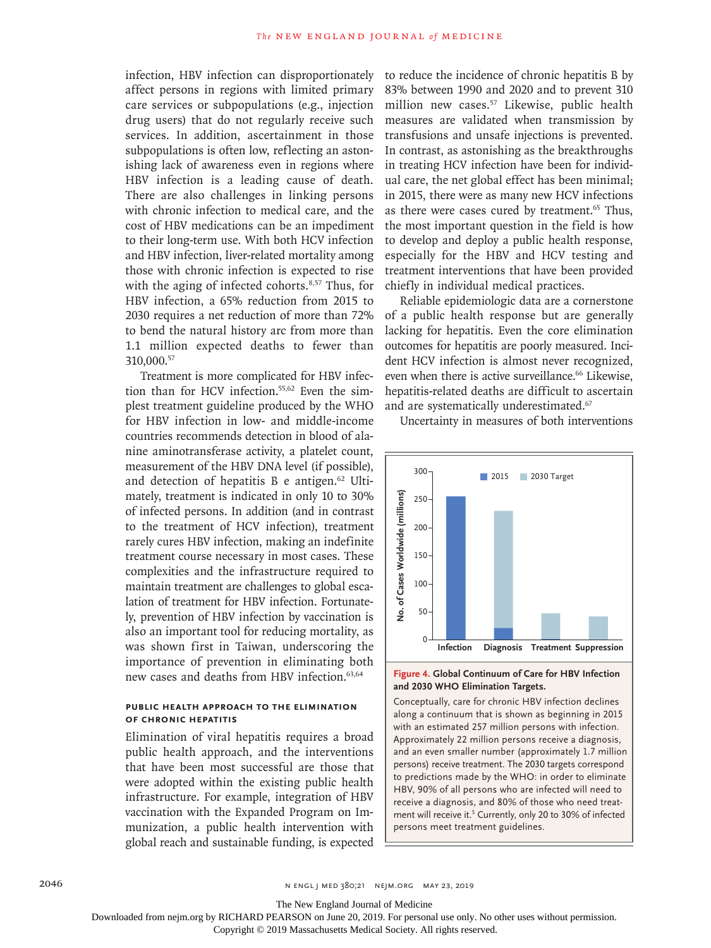infection, HBV infection can disproportionately affect persons in regions with limited primary care services or subpopulations (e.g., injection drug users) that do not regularly receive such services. In addition, ascertainment in those subpopulations is often low, reflecting an astonishing lack of awareness even in regions where HBV infection is a leading cause of death. There are also challenges in linking persons with chronic infection to medical care, and the cost of HBV medications can be an impediment to their long-term use. With both HCV infection and HBV infection, liver-related mortality among those with chronic infection is expected to rise with the aging of infected cohorts.<sup>8,57</sup> Thus, for HBV infection, a 65% reduction from 2015 to 2030 requires a net reduction of more than 72% to bend the natural history arc from more than 1.1 million expected deaths to fewer than 310,000.57

Treatment is more complicated for HBV infection than for HCV infection.55,62 Even the simplest treatment guideline produced by the WHO for HBV infection in low- and middle-income countries recommends detection in blood of alanine aminotransferase activity, a platelet count, measurement of the HBV DNA level (if possible), and detection of hepatitis B e antigen.<sup>62</sup> Ultimately, treatment is indicated in only 10 to 30% of infected persons. In addition (and in contrast to the treatment of HCV infection), treatment rarely cures HBV infection, making an indefinite treatment course necessary in most cases. These complexities and the infrastructure required to maintain treatment are challenges to global escalation of treatment for HBV infection. Fortunately, prevention of HBV infection by vaccination is also an important tool for reducing mortality, as was shown first in Taiwan, underscoring the importance of prevention in eliminating both new cases and deaths from HBV infection.<sup>63,64</sup>

## **Public Health Approach to the Elimination of Chronic Hepatitis**

Elimination of viral hepatitis requires a broad public health approach, and the interventions that have been most successful are those that were adopted within the existing public health infrastructure. For example, integration of HBV vaccination with the Expanded Program on Immunization, a public health intervention with global reach and sustainable funding, is expected to reduce the incidence of chronic hepatitis B by 83% between 1990 and 2020 and to prevent 310 million new cases.57 Likewise, public health measures are validated when transmission by transfusions and unsafe injections is prevented. In contrast, as astonishing as the breakthroughs in treating HCV infection have been for individual care, the net global effect has been minimal; in 2015, there were as many new HCV infections as there were cases cured by treatment.<sup>65</sup> Thus, the most important question in the field is how to develop and deploy a public health response, especially for the HBV and HCV testing and treatment interventions that have been provided chiefly in individual medical practices.

Reliable epidemiologic data are a cornerstone of a public health response but are generally lacking for hepatitis. Even the core elimination outcomes for hepatitis are poorly measured. Incident HCV infection is almost never recognized, even when there is active surveillance.<sup>66</sup> Likewise, hepatitis-related deaths are difficult to ascertain and are systematically underestimated.<sup>67</sup>

Uncertainty in measures of both interventions



### **Figure 4. Global Continuum of Care for HBV Infection and 2030 WHO Elimination Targets.**

Conceptually, care for chronic HBV infection declines along a continuum that is shown as beginning in 2015 with an estimated 257 million persons with infection. Approximately 22 million persons receive a diagnosis, and an even smaller number (approximately 1.7 million persons) receive treatment. The 2030 targets correspond to predictions made by the WHO: in order to eliminate HBV, 90% of all persons who are infected will need to receive a diagnosis, and 80% of those who need treatment will receive it.<sup>5</sup> Currently, only 20 to 30% of infected

The New England Journal of Medicine

Downloaded from nejm.org by RICHARD PEARSON on June 20, 2019. For personal use only. No other uses without permission.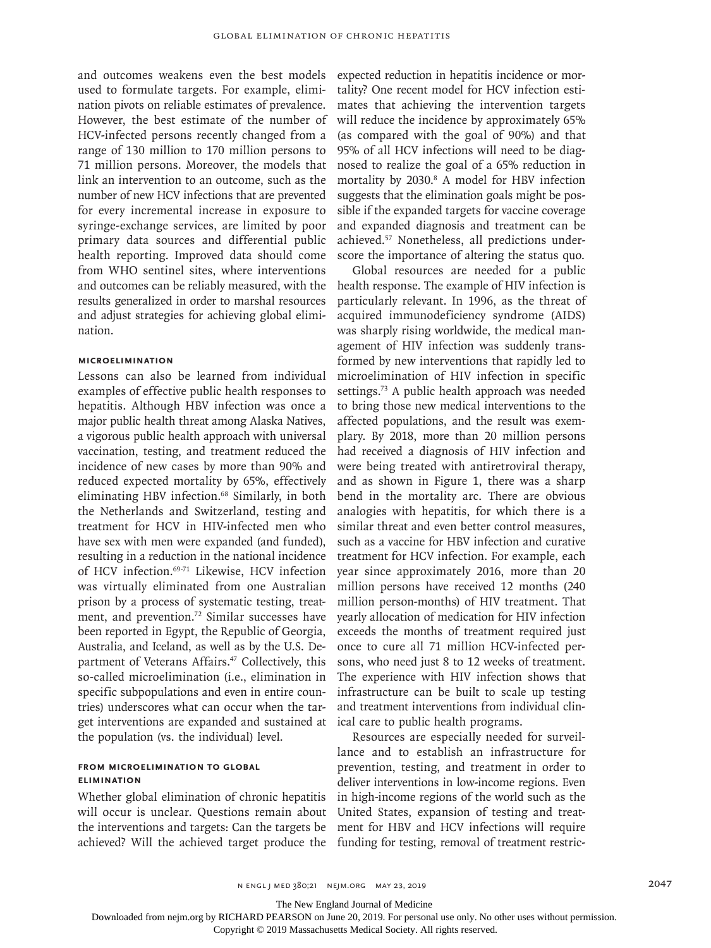and outcomes weakens even the best models used to formulate targets. For example, elimination pivots on reliable estimates of prevalence. However, the best estimate of the number of HCV-infected persons recently changed from a range of 130 million to 170 million persons to 71 million persons. Moreover, the models that link an intervention to an outcome, such as the number of new HCV infections that are prevented for every incremental increase in exposure to syringe-exchange services, are limited by poor primary data sources and differential public health reporting. Improved data should come from WHO sentinel sites, where interventions and outcomes can be reliably measured, with the results generalized in order to marshal resources and adjust strategies for achieving global elimination.

### **Microelimination**

Lessons can also be learned from individual examples of effective public health responses to hepatitis. Although HBV infection was once a major public health threat among Alaska Natives, a vigorous public health approach with universal vaccination, testing, and treatment reduced the incidence of new cases by more than 90% and reduced expected mortality by 65%, effectively eliminating HBV infection.<sup>68</sup> Similarly, in both the Netherlands and Switzerland, testing and treatment for HCV in HIV-infected men who have sex with men were expanded (and funded), resulting in a reduction in the national incidence of HCV infection.<sup>69-71</sup> Likewise, HCV infection was virtually eliminated from one Australian prison by a process of systematic testing, treatment, and prevention.<sup>72</sup> Similar successes have been reported in Egypt, the Republic of Georgia, Australia, and Iceland, as well as by the U.S. Department of Veterans Affairs.<sup>47</sup> Collectively, this so-called microelimination (i.e., elimination in specific subpopulations and even in entire countries) underscores what can occur when the target interventions are expanded and sustained at the population (vs. the individual) level.

## **From Microelimination to Global Elimination**

Whether global elimination of chronic hepatitis will occur is unclear. Questions remain about the interventions and targets: Can the targets be achieved? Will the achieved target produce the

expected reduction in hepatitis incidence or mortality? One recent model for HCV infection estimates that achieving the intervention targets will reduce the incidence by approximately 65% (as compared with the goal of 90%) and that 95% of all HCV infections will need to be diagnosed to realize the goal of a 65% reduction in mortality by 2030.8 A model for HBV infection suggests that the elimination goals might be possible if the expanded targets for vaccine coverage and expanded diagnosis and treatment can be achieved.57 Nonetheless, all predictions underscore the importance of altering the status quo.

Global resources are needed for a public health response. The example of HIV infection is particularly relevant. In 1996, as the threat of acquired immunodeficiency syndrome (AIDS) was sharply rising worldwide, the medical management of HIV infection was suddenly transformed by new interventions that rapidly led to microelimination of HIV infection in specific settings.73 A public health approach was needed to bring those new medical interventions to the affected populations, and the result was exemplary. By 2018, more than 20 million persons had received a diagnosis of HIV infection and were being treated with antiretroviral therapy, and as shown in Figure 1, there was a sharp bend in the mortality arc. There are obvious analogies with hepatitis, for which there is a similar threat and even better control measures, such as a vaccine for HBV infection and curative treatment for HCV infection. For example, each year since approximately 2016, more than 20 million persons have received 12 months (240 million person-months) of HIV treatment. That yearly allocation of medication for HIV infection exceeds the months of treatment required just once to cure all 71 million HCV-infected persons, who need just 8 to 12 weeks of treatment. The experience with HIV infection shows that infrastructure can be built to scale up testing and treatment interventions from individual clinical care to public health programs.

Resources are especially needed for surveillance and to establish an infrastructure for prevention, testing, and treatment in order to deliver interventions in low-income regions. Even in high-income regions of the world such as the United States, expansion of testing and treatment for HBV and HCV infections will require funding for testing, removal of treatment restric-

The New England Journal of Medicine

Downloaded from nejm.org by RICHARD PEARSON on June 20, 2019. For personal use only. No other uses without permission.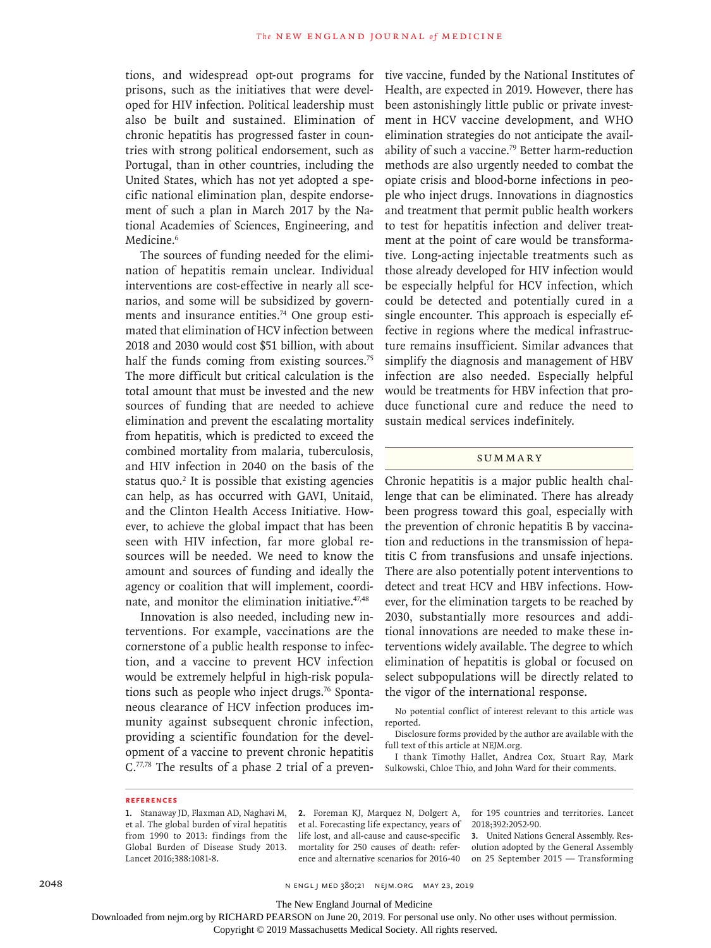tions, and widespread opt-out programs for prisons, such as the initiatives that were developed for HIV infection. Political leadership must also be built and sustained. Elimination of chronic hepatitis has progressed faster in countries with strong political endorsement, such as Portugal, than in other countries, including the United States, which has not yet adopted a specific national elimination plan, despite endorsement of such a plan in March 2017 by the National Academies of Sciences, Engineering, and Medicine.<sup>6</sup>

The sources of funding needed for the elimination of hepatitis remain unclear. Individual interventions are cost-effective in nearly all scenarios, and some will be subsidized by governments and insurance entities.<sup>74</sup> One group estimated that elimination of HCV infection between 2018 and 2030 would cost \$51 billion, with about half the funds coming from existing sources.<sup>75</sup> The more difficult but critical calculation is the total amount that must be invested and the new sources of funding that are needed to achieve elimination and prevent the escalating mortality from hepatitis, which is predicted to exceed the combined mortality from malaria, tuberculosis, and HIV infection in 2040 on the basis of the status quo. $2$  It is possible that existing agencies can help, as has occurred with GAVI, Unitaid, and the Clinton Health Access Initiative. However, to achieve the global impact that has been seen with HIV infection, far more global resources will be needed. We need to know the amount and sources of funding and ideally the agency or coalition that will implement, coordinate, and monitor the elimination initiative.<sup>47,48</sup>

Innovation is also needed, including new interventions. For example, vaccinations are the cornerstone of a public health response to infection, and a vaccine to prevent HCV infection would be extremely helpful in high-risk populations such as people who inject drugs.<sup>76</sup> Spontaneous clearance of HCV infection produces immunity against subsequent chronic infection, providing a scientific foundation for the development of a vaccine to prevent chronic hepatitis C.77,78 The results of a phase 2 trial of a preventive vaccine, funded by the National Institutes of Health, are expected in 2019. However, there has been astonishingly little public or private investment in HCV vaccine development, and WHO elimination strategies do not anticipate the availability of such a vaccine.79 Better harm-reduction methods are also urgently needed to combat the opiate crisis and blood-borne infections in people who inject drugs. Innovations in diagnostics and treatment that permit public health workers to test for hepatitis infection and deliver treatment at the point of care would be transformative. Long-acting injectable treatments such as those already developed for HIV infection would be especially helpful for HCV infection, which could be detected and potentially cured in a single encounter. This approach is especially effective in regions where the medical infrastructure remains insufficient. Similar advances that simplify the diagnosis and management of HBV infection are also needed. Especially helpful would be treatments for HBV infection that produce functional cure and reduce the need to sustain medical services indefinitely.

## **SUMMARY**

Chronic hepatitis is a major public health challenge that can be eliminated. There has already been progress toward this goal, especially with the prevention of chronic hepatitis B by vaccination and reductions in the transmission of hepatitis C from transfusions and unsafe injections. There are also potentially potent interventions to detect and treat HCV and HBV infections. However, for the elimination targets to be reached by 2030, substantially more resources and additional innovations are needed to make these interventions widely available. The degree to which elimination of hepatitis is global or focused on select subpopulations will be directly related to the vigor of the international response.

No potential conflict of interest relevant to this article was reported.

Disclosure forms provided by the author are available with the full text of this article at NEJM.org.

I thank Timothy Hallet, Andrea Cox, Stuart Ray, Mark Sulkowski, Chloe Thio, and John Ward for their comments.

#### **References**

**1.** Stanaway JD, Flaxman AD, Naghavi M, et al. The global burden of viral hepatitis from 1990 to 2013: findings from the Global Burden of Disease Study 2013. Lancet 2016;388:1081-8.

**2.** Foreman KJ, Marquez N, Dolgert A, et al. Forecasting life expectancy, years of life lost, and all-cause and cause-specific mortality for 250 causes of death: reference and alternative scenarios for 2016-40 for 195 countries and territories. Lancet 2018;392:2052-90.

**3.** United Nations General Assembly. Resolution adopted by the General Assembly on 25 September 2015 — Transforming

2048 n engl j med 380;21 nejm.org May 23, 2019

The New England Journal of Medicine

Downloaded from nejm.org by RICHARD PEARSON on June 20, 2019. For personal use only. No other uses without permission.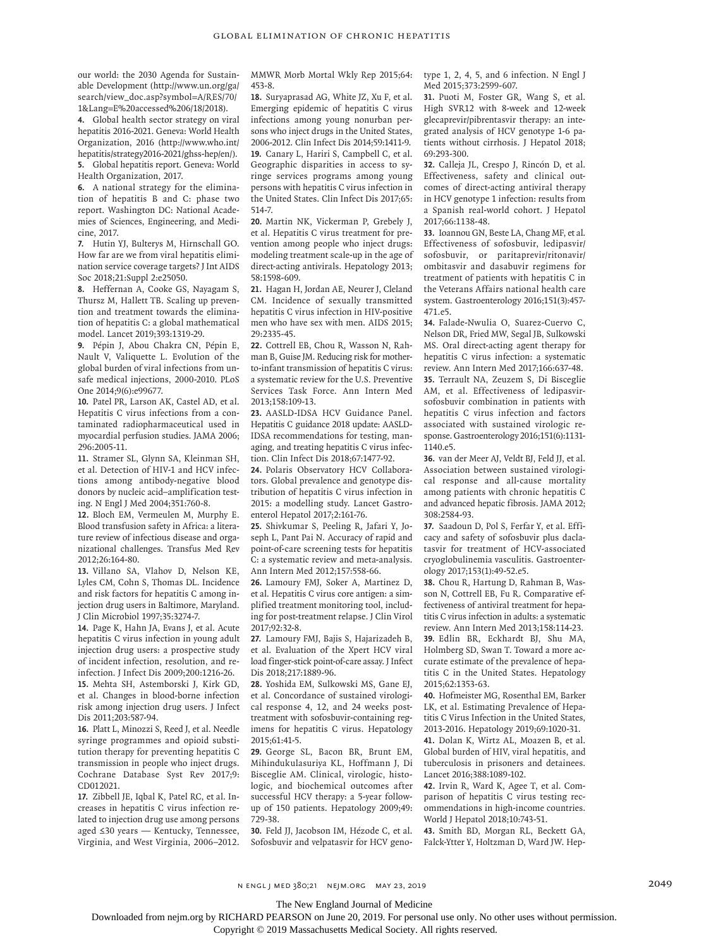our world: the 2030 Agenda for Sustainable Development (http://www.un.org/ga/ search/view\_doc.asp?symbol=A/RES/70/ 1&Lang=E%20accessed%206/18/2018).

**4.** Global health sector strategy on viral hepatitis 2016-2021. Geneva: World Health Organization, 2016 (http://www.who.int/ hepatitis/strategy2016-2021/ghss-hep/en/). **5.** Global hepatitis report. Geneva: World Health Organization, 2017.

**6.** A national strategy for the elimination of hepatitis B and C: phase two report. Washington DC: National Academies of Sciences, Engineering, and Medicine, 2017.

**7.** Hutin YJ, Bulterys M, Hirnschall GO. How far are we from viral hepatitis elimination service coverage targets? J Int AIDS Soc 2018;21:Suppl 2:e25050.

**8.** Heffernan A, Cooke GS, Nayagam S, Thursz M, Hallett TB. Scaling up prevention and treatment towards the elimination of hepatitis C: a global mathematical model. Lancet 2019;393:1319-29.

**9.** Pépin J, Abou Chakra CN, Pépin E, Nault V, Valiquette L. Evolution of the global burden of viral infections from unsafe medical injections, 2000-2010. PLoS One 2014;9(6):e99677.

**10.** Patel PR, Larson AK, Castel AD, et al. Hepatitis C virus infections from a contaminated radiopharmaceutical used in myocardial perfusion studies. JAMA 2006; 296:2005-11.

**11.** Stramer SL, Glynn SA, Kleinman SH, et al. Detection of HIV-1 and HCV infections among antibody-negative blood donors by nucleic acid–amplification testing. N Engl J Med 2004;351:760-8.

**12.** Bloch EM, Vermeulen M, Murphy E. Blood transfusion safety in Africa: a literature review of infectious disease and organizational challenges. Transfus Med Rev 2012;26:164-80.

**13.** Villano SA, Vlahov D, Nelson KE, Lyles CM, Cohn S, Thomas DL. Incidence and risk factors for hepatitis C among injection drug users in Baltimore, Maryland. J Clin Microbiol 1997;35:3274-7.

**14.** Page K, Hahn JA, Evans J, et al. Acute hepatitis C virus infection in young adult injection drug users: a prospective study of incident infection, resolution, and reinfection. J Infect Dis 2009;200:1216-26. **15.** Mehta SH, Astemborski J, Kirk GD, et al. Changes in blood-borne infection risk among injection drug users. J Infect Dis 2011;203:587-94.

**16.** Platt L, Minozzi S, Reed J, et al. Needle syringe programmes and opioid substitution therapy for preventing hepatitis C transmission in people who inject drugs. Cochrane Database Syst Rev 2017;9: CD012021.

**17.** Zibbell JE, Iqbal K, Patel RC, et al. Increases in hepatitis C virus infection related to injection drug use among persons aged ≤30 years — Kentucky, Tennessee, Virginia, and West Virginia, 2006–2012. MMWR Morb Mortal Wkly Rep 2015;64: 453-8.

**18.** Suryaprasad AG, White JZ, Xu F, et al. Emerging epidemic of hepatitis C virus infections among young nonurban persons who inject drugs in the United States, 2006-2012. Clin Infect Dis 2014;59:1411-9. **19.** Canary L, Hariri S, Campbell C, et al. Geographic disparities in access to syringe services programs among young persons with hepatitis C virus infection in the United States. Clin Infect Dis 2017;65: 514-7.

**20.** Martin NK, Vickerman P, Grebely J, et al. Hepatitis C virus treatment for prevention among people who inject drugs: modeling treatment scale-up in the age of direct-acting antivirals. Hepatology 2013; 58:1598-609.

**21.** Hagan H, Jordan AE, Neurer J, Cleland CM. Incidence of sexually transmitted hepatitis C virus infection in HIV-positive men who have sex with men. AIDS 2015; 29:2335-45.

**22.** Cottrell EB, Chou R, Wasson N, Rahman B, Guise JM. Reducing risk for motherto-infant transmission of hepatitis C virus: a systematic review for the U.S. Preventive Services Task Force. Ann Intern Med 2013;158:109-13.

**23.** AASLD-IDSA HCV Guidance Panel. Hepatitis C guidance 2018 update: AASLD-IDSA recommendations for testing, managing, and treating hepatitis C virus infection. Clin Infect Dis 2018;67:1477-92.

**24.** Polaris Observatory HCV Collaborators. Global prevalence and genotype distribution of hepatitis C virus infection in 2015: a modelling study. Lancet Gastroenterol Hepatol 2017;2:161-76.

**25.** Shivkumar S, Peeling R, Jafari Y, Joseph L, Pant Pai N. Accuracy of rapid and point-of-care screening tests for hepatitis C: a systematic review and meta-analysis. Ann Intern Med 2012;157:558-66.

**26.** Lamoury FMJ, Soker A, Martinez D, et al. Hepatitis C virus core antigen: a simplified treatment monitoring tool, including for post-treatment relapse. J Clin Virol 2017;92:32-8.

**27.** Lamoury FMJ, Bajis S, Hajarizadeh B, et al. Evaluation of the Xpert HCV viral load finger-stick point-of-care assay. J Infect Dis 2018;217:1889-96.

**28.** Yoshida EM, Sulkowski MS, Gane EJ, et al. Concordance of sustained virological response 4, 12, and 24 weeks posttreatment with sofosbuvir-containing regimens for hepatitis C virus. Hepatology 2015;61:41-5.

**29.** George SL, Bacon BR, Brunt EM, Mihindukulasuriya KL, Hoffmann J, Di Bisceglie AM. Clinical, virologic, histologic, and biochemical outcomes after successful HCV therapy: a 5-year followup of 150 patients. Hepatology 2009;49: 729-38.

**30.** Feld JJ, Jacobson IM, Hézode C, et al. Sofosbuvir and velpatasvir for HCV genotype 1, 2, 4, 5, and 6 infection. N Engl J Med 2015;373:2599-607.

**31.** Puoti M, Foster GR, Wang S, et al. High SVR12 with 8-week and 12-week glecaprevir/pibrentasvir therapy: an integrated analysis of HCV genotype 1-6 patients without cirrhosis. J Hepatol 2018; 69:293-300.

**32.** Calleja JL, Crespo J, Rincón D, et al. Effectiveness, safety and clinical outcomes of direct-acting antiviral therapy in HCV genotype 1 infection: results from a Spanish real-world cohort. J Hepatol 2017;66:1138-48.

**33.** Ioannou GN, Beste LA, Chang MF, et al. Effectiveness of sofosbuvir, ledipasvir/ sofosbuvir, or paritaprevir/ritonavir/ ombitasvir and dasabuvir regimens for treatment of patients with hepatitis C in the Veterans Affairs national health care system. Gastroenterology 2016;151(3):457- 471.e5.

**34.** Falade-Nwulia O, Suarez-Cuervo C, Nelson DR, Fried MW, Segal JB, Sulkowski MS. Oral direct-acting agent therapy for hepatitis C virus infection: a systematic review. Ann Intern Med 2017;166:637-48. **35.** Terrault NA, Zeuzem S, Di Bisceglie AM, et al. Effectiveness of ledipasvirsofosbuvir combination in patients with hepatitis C virus infection and factors associated with sustained virologic response. Gastroenterology 2016;151(6):1131- 1140.e5.

**36.** van der Meer AJ, Veldt BJ, Feld JJ, et al. Association between sustained virological response and all-cause mortality among patients with chronic hepatitis C and advanced hepatic fibrosis. JAMA 2012; 308:2584-93.

**37.** Saadoun D, Pol S, Ferfar Y, et al. Efficacy and safety of sofosbuvir plus daclatasvir for treatment of HCV-associated cryoglobulinemia vasculitis. Gastroenterology 2017;153(1):49-52.e5.

**38.** Chou R, Hartung D, Rahman B, Wasson N, Cottrell EB, Fu R. Comparative effectiveness of antiviral treatment for hepatitis C virus infection in adults: a systematic review. Ann Intern Med 2013;158:114-23.

**39.** Edlin BR, Eckhardt BJ, Shu MA, Holmberg SD, Swan T. Toward a more accurate estimate of the prevalence of hepatitis C in the United States. Hepatology 2015;62:1353-63.

**40.** Hofmeister MG, Rosenthal EM, Barker LK, et al. Estimating Prevalence of Hepatitis C Virus Infection in the United States, 2013-2016. Hepatology 2019;69:1020-31.

**41.** Dolan K, Wirtz AL, Moazen B, et al. Global burden of HIV, viral hepatitis, and tuberculosis in prisoners and detainees. Lancet 2016;388:1089-102.

**42.** Irvin R, Ward K, Agee T, et al. Comparison of hepatitis C virus testing recommendations in high-income countries. World J Hepatol 2018;10:743-51.

**43.** Smith BD, Morgan RL, Beckett GA, Falck-Ytter Y, Holtzman D, Ward JW. Hep-

The New England Journal of Medicine

Downloaded from nejm.org by RICHARD PEARSON on June 20, 2019. For personal use only. No other uses without permission.